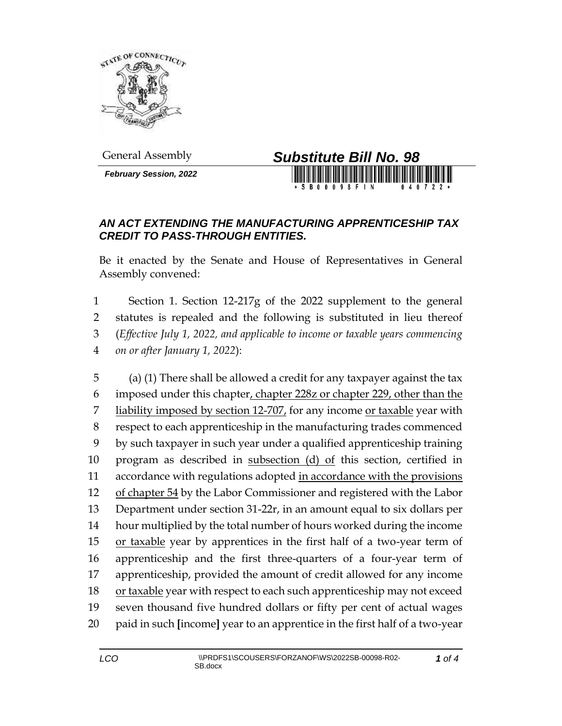

*February Session, 2022*



## *AN ACT EXTENDING THE MANUFACTURING APPRENTICESHIP TAX CREDIT TO PASS-THROUGH ENTITIES.*

Be it enacted by the Senate and House of Representatives in General Assembly convened:

 Section 1. Section 12-217g of the 2022 supplement to the general statutes is repealed and the following is substituted in lieu thereof (*Effective July 1, 2022, and applicable to income or taxable years commencing on or after January 1, 2022*):

 (a) (1) There shall be allowed a credit for any taxpayer against the tax imposed under this chapter, chapter 228z or chapter 229, other than the 7 liability imposed by section  $12-707$ , for any income or taxable year with respect to each apprenticeship in the manufacturing trades commenced by such taxpayer in such year under a qualified apprenticeship training program as described in subsection (d) of this section, certified in 11 accordance with regulations adopted in accordance with the provisions 12 of chapter 54 by the Labor Commissioner and registered with the Labor Department under section 31-22r, in an amount equal to six dollars per hour multiplied by the total number of hours worked during the income 15 or taxable year by apprentices in the first half of a two-year term of apprenticeship and the first three-quarters of a four-year term of apprenticeship, provided the amount of credit allowed for any income 18 or taxable year with respect to each such apprenticeship may not exceed seven thousand five hundred dollars or fifty per cent of actual wages paid in such **[**income**]** year to an apprentice in the first half of a two-year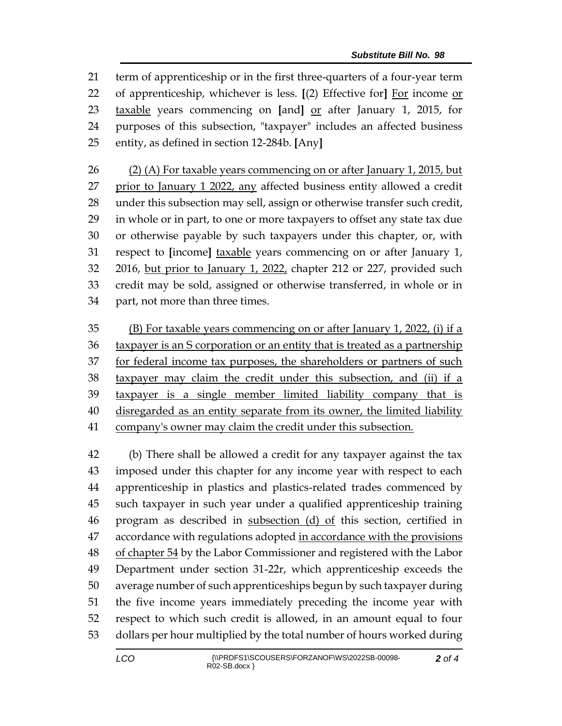term of apprenticeship or in the first three-quarters of a four-year term of apprenticeship, whichever is less. **[**(2) Effective for**]** For income or taxable years commencing on **[**and**]** or after January 1, 2015, for purposes of this subsection, "taxpayer" includes an affected business entity, as defined in section 12-284b. **[**Any**]**

 (2) (A) For taxable years commencing on or after January 1, 2015, but prior to January 1 2022, any affected business entity allowed a credit under this subsection may sell, assign or otherwise transfer such credit, in whole or in part, to one or more taxpayers to offset any state tax due or otherwise payable by such taxpayers under this chapter, or, with respect to **[**income**]** taxable years commencing on or after January 1, 2016, but prior to January 1, 2022, chapter 212 or 227, provided such credit may be sold, assigned or otherwise transferred, in whole or in part, not more than three times.

 (B) For taxable years commencing on or after January 1, 2022, (i) if a 36 taxpayer is an S corporation or an entity that is treated as a partnership 37 for federal income tax purposes, the shareholders or partners of such taxpayer may claim the credit under this subsection, and (ii) if a taxpayer is a single member limited liability company that is disregarded as an entity separate from its owner, the limited liability company's owner may claim the credit under this subsection.

 (b) There shall be allowed a credit for any taxpayer against the tax imposed under this chapter for any income year with respect to each apprenticeship in plastics and plastics-related trades commenced by such taxpayer in such year under a qualified apprenticeship training program as described in subsection (d) of this section, certified in accordance with regulations adopted in accordance with the provisions 48 of chapter 54 by the Labor Commissioner and registered with the Labor Department under section 31-22r, which apprenticeship exceeds the average number of such apprenticeships begun by such taxpayer during the five income years immediately preceding the income year with respect to which such credit is allowed, in an amount equal to four dollars per hour multiplied by the total number of hours worked during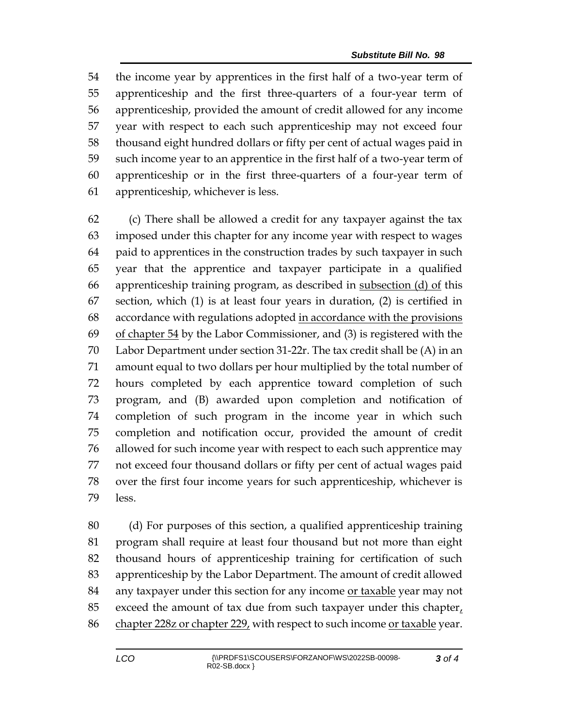the income year by apprentices in the first half of a two-year term of apprenticeship and the first three-quarters of a four-year term of apprenticeship, provided the amount of credit allowed for any income year with respect to each such apprenticeship may not exceed four thousand eight hundred dollars or fifty per cent of actual wages paid in such income year to an apprentice in the first half of a two-year term of apprenticeship or in the first three-quarters of a four-year term of apprenticeship, whichever is less.

 (c) There shall be allowed a credit for any taxpayer against the tax imposed under this chapter for any income year with respect to wages paid to apprentices in the construction trades by such taxpayer in such year that the apprentice and taxpayer participate in a qualified apprenticeship training program, as described in subsection (d) of this section, which (1) is at least four years in duration, (2) is certified in 68 accordance with regulations adopted in accordance with the provisions of chapter 54 by the Labor Commissioner, and (3) is registered with the Labor Department under section 31-22r. The tax credit shall be (A) in an amount equal to two dollars per hour multiplied by the total number of hours completed by each apprentice toward completion of such program, and (B) awarded upon completion and notification of completion of such program in the income year in which such completion and notification occur, provided the amount of credit allowed for such income year with respect to each such apprentice may not exceed four thousand dollars or fifty per cent of actual wages paid over the first four income years for such apprenticeship, whichever is less.

 (d) For purposes of this section, a qualified apprenticeship training program shall require at least four thousand but not more than eight thousand hours of apprenticeship training for certification of such apprenticeship by the Labor Department. The amount of credit allowed 84 any taxpayer under this section for any income or taxable year may not 85 exceed the amount of tax due from such taxpayer under this chapter $<sub>L</sub>$ </sub> 86 chapter 228z or chapter 229, with respect to such income or taxable year.